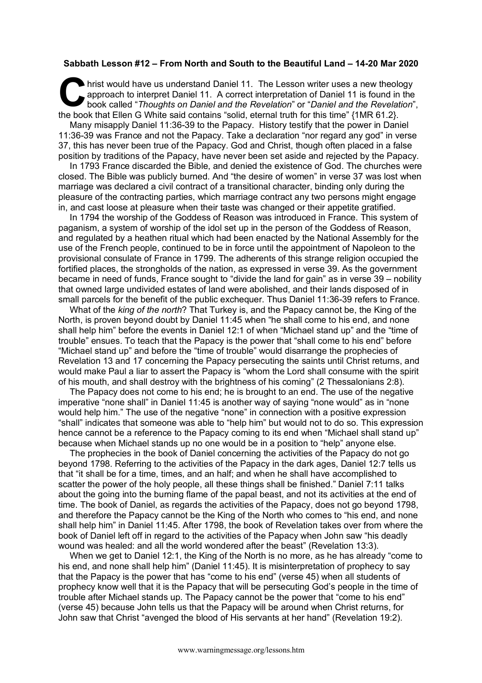## **Sabbath Lesson #12 – From North and South to the Beautiful Land – 14-20 Mar 2020**

hrist would have us understand Daniel 11. The Lesson writer uses a new theology approach to interpret Daniel 11. A correct interpretation of Daniel 11 is found in the book called "*Thoughts on Daniel and the Revelation*" or "*Daniel and the Revelation*", the book that Ellen G White said contains "solid, eternal truth for this time" {1MR 61.2}. C hris

Many misapply Daniel 11:36-39 to the Papacy. History testify that the power in Daniel 11:36-39 was France and not the Papacy. Take a declaration "nor regard any god" in verse 37, this has never been true of the Papacy. God and Christ, though often placed in a false position by traditions of the Papacy, have never been set aside and rejected by the Papacy.

In 1793 France discarded the Bible, and denied the existence of God. The churches were closed. The Bible was publicly burned. And "the desire of women" in verse 37 was lost when marriage was declared a civil contract of a transitional character, binding only during the pleasure of the contracting parties, which marriage contract any two persons might engage in, and cast loose at pleasure when their taste was changed or their appetite gratified.

In 1794 the worship of the Goddess of Reason was introduced in France. This system of paganism, a system of worship of the idol set up in the person of the Goddess of Reason, and regulated by a heathen ritual which had been enacted by the National Assembly for the use of the French people, continued to be in force until the appointment of Napoleon to the provisional consulate of France in 1799. The adherents of this strange religion occupied the fortified places, the strongholds of the nation, as expressed in verse 39. As the government became in need of funds, France sought to "divide the land for gain" as in verse 39 – nobility that owned large undivided estates of land were abolished, and their lands disposed of in small parcels for the benefit of the public exchequer. Thus Daniel 11:36-39 refers to France.

What of the *king of the north*? That Turkey is, and the Papacy cannot be, the King of the North, is proven beyond doubt by Daniel 11:45 when "he shall come to his end, and none shall help him" before the events in Daniel 12:1 of when "Michael stand up" and the "time of trouble" ensues. To teach that the Papacy is the power that "shall come to his end" before "Michael stand up" and before the "time of trouble" would disarrange the prophecies of Revelation 13 and 17 concerning the Papacy persecuting the saints until Christ returns, and would make Paul a liar to assert the Papacy is "whom the Lord shall consume with the spirit of his mouth, and shall destroy with the brightness of his coming" (2 Thessalonians 2:8).

The Papacy does not come to his end; he is brought to an end. The use of the negative imperative "none shall" in Daniel 11:45 is another way of saying "none would" as in "none would help him." The use of the negative "none" in connection with a positive expression "shall" indicates that someone was able to "help him" but would not to do so. This expression hence cannot be a reference to the Papacy coming to its end when "Michael shall stand up" because when Michael stands up no one would be in a position to "help" anyone else.

The prophecies in the book of Daniel concerning the activities of the Papacy do not go beyond 1798. Referring to the activities of the Papacy in the dark ages, Daniel 12:7 tells us that "it shall be for a time, times, and an half; and when he shall have accomplished to scatter the power of the holy people, all these things shall be finished." Daniel 7:11 talks about the going into the burning flame of the papal beast, and not its activities at the end of time. The book of Daniel, as regards the activities of the Papacy, does not go beyond 1798, and therefore the Papacy cannot be the King of the North who comes to "his end, and none shall help him" in Daniel 11:45. After 1798, the book of Revelation takes over from where the book of Daniel left off in regard to the activities of the Papacy when John saw "his deadly wound was healed: and all the world wondered after the beast" (Revelation 13:3).

When we get to Daniel 12:1, the King of the North is no more, as he has already "come to his end, and none shall help him" (Daniel 11:45). It is misinterpretation of prophecy to say that the Papacy is the power that has "come to his end" (verse 45) when all students of prophecy know well that it is the Papacy that will be persecuting God's people in the time of trouble after Michael stands up. The Papacy cannot be the power that "come to his end" (verse 45) because John tells us that the Papacy will be around when Christ returns, for John saw that Christ "avenged the blood of His servants at her hand" (Revelation 19:2).